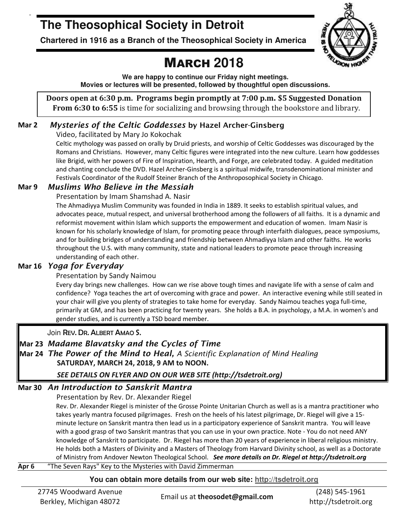## **The Theosophical Society in Detroit**

**Chartered in 1916 as a Branch of the Theosophical Society in America** 

# MARCH **2018**



**We are happy to continue our Friday night meetings. Movies or lectures will be presented, followed by thoughtful open discussions.** 

**Doors open at 6:30 p.m. Programs begin promptly at 7:00 p.m. \$5 Suggested Donation From 6:30 to 6:55** is time for socializing and browsing through the bookstore and library.

### **Mar 2** *Mysteries of the Celtic Goddesses* **by Hazel Archer-Ginsberg**

Video, facilitated by Mary Jo Kokochak

Celtic mythology was passed on orally by Druid priests, and worship of Celtic Goddesses was discouraged by the Romans and Christians. However, many Celtic figures were integrated into the new culture. Learn how goddesses like Brigid, with her powers of Fire of Inspiration, Hearth, and Forge, are celebrated today. A guided meditation and chanting conclude the DVD. Hazel Archer-Ginsberg is a spiritual midwife, transdenominational minister and Festivals Coordinator of the Rudolf Steiner Branch of the Anthroposophical Society in Chicago.

#### **Mar 9** *Muslims Who Believe in the Messiah*

Presentation by Imam Shamshad A. Nasir

The Ahmadiyya Muslim Community was founded in India in 1889. It seeks to establish spiritual values, and advocates peace, mutual respect, and universal brotherhood among the followers of all faiths. It is a dynamic and reformist movement within Islam which supports the empowerment and education of women. Imam Nasir is known for his scholarly knowledge of Islam, for promoting peace through interfaith dialogues, peace symposiums, and for building bridges of understanding and friendship between Ahmadiyya Islam and other faiths. He works throughout the U.S. with many community, state and national leaders to promote peace through increasing understanding of each other.

#### **Mar 16** *Yoga for Everyday*

#### Presentation by Sandy Naimou

Every day brings new challenges. How can we rise above tough times and navigate life with a sense of calm and confidence? Yoga teaches the art of overcoming with grace and power. An interactive evening while still seated in your chair will give you plenty of strategies to take home for everyday. Sandy Naimou teaches yoga full-time, primarily at GM, and has been practicing for twenty years. She holds a B.A. in psychology, a M.A. in women's and gender studies, and is currently a TSD board member.

#### Join REV. DR. ALBERT AMAO S.

#### **Mar 23** *Madame Blavatsky and the Cycles of Time*

**Mar 24** *The Power of the Mind to Heal, A Scientific Explanation of Mind Healing* **SATURDAY, MARCH 24, 2018, 9 AM to NOON.** 

#### *SEE DETAILS ON FLYER AND ON OUR WEB SITE (http://tsdetroit.org)*

#### **Mar 30** *An Introduction to Sanskrit Mantra*

Presentation by Rev. Dr. Alexander Riegel

Rev. Dr. Alexander Riegel is minister of the Grosse Pointe Unitarian Church as well as is a mantra practitioner who takes yearly mantra focused pilgrimages. Fresh on the heels of his latest pilgrimage, Dr. Riegel will give a 15 minute lecture on Sanskrit mantra then lead us in a participatory experience of Sanskrit mantra. You will leave with a good grasp of two Sanskrit mantras that you can use in your own practice. Note - You do not need ANY knowledge of Sanskrit to participate. Dr. Riegel has more than 20 years of experience in liberal religious ministry. He holds both a Masters of Divinity and a Masters of Theology from Harvard Divinity school, as well as a Doctorate of Ministry from Andover Newton Theological School. *See more details on Dr. Riegel at http://tsdetroit.org*

#### **Apr 6** "The Seven Rays" Key to the Mysteries with David Zimmerman

#### **You can obtain more details from our web site: http://tsdetroit.org**